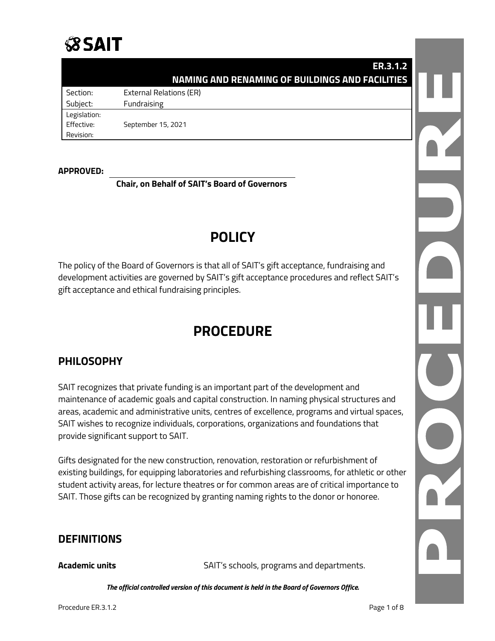

|              | <b>ER.3.1.2</b>                                        |  |
|--------------|--------------------------------------------------------|--|
|              | <b>NAMING AND RENAMING OF BUILDINGS AND FACILITIES</b> |  |
| Section:     | <b>External Relations (ER)</b>                         |  |
| Subject:     | Fundraising                                            |  |
| Legislation: |                                                        |  |
| Effective:   | September 15, 2021                                     |  |
| Revision:    |                                                        |  |

#### **APPROVED:**

**Chair, on Behalf of SAIT's Board of Governors**

# **POLICY**

The policy of the Board of Governors is that all of SAIT's gift acceptance, fundraising and development activities are governed by SAIT's gift acceptance procedures and reflect SAIT's gift acceptance and ethical fundraising principles.

# **PROCEDURE**

# **PHILOSOPHY**

SAIT recognizes that private funding is an important part of the development and maintenance of academic goals and capital construction. In naming physical structures and areas, academic and administrative units, centres of excellence, programs and virtual spaces, SAIT wishes to recognize individuals, corporations, organizations and foundations that provide significant support to SAIT.

Gifts designated for the new construction, renovation, restoration or refurbishment of existing buildings, for equipping laboratories and refurbishing classrooms, for athletic or other student activity areas, for lecture theatres or for common areas are of critical importance to SAIT. Those gifts can be recognized by granting naming rights to the donor or honoree.

# **DEFINITIONS**

**Academic units** SAIT's schools, programs and departments.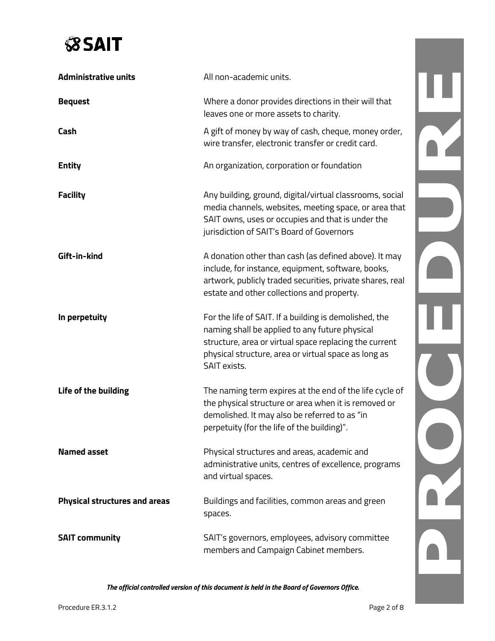# **SSAIT**

| <b>Administrative units</b>          | All non-academic units.                                                                                                                                                                                                                    |  |
|--------------------------------------|--------------------------------------------------------------------------------------------------------------------------------------------------------------------------------------------------------------------------------------------|--|
| <b>Bequest</b>                       | Where a donor provides directions in their will that<br>leaves one or more assets to charity.                                                                                                                                              |  |
| Cash                                 | A gift of money by way of cash, cheque, money order,<br>wire transfer, electronic transfer or credit card.                                                                                                                                 |  |
| <b>Entity</b>                        | An organization, corporation or foundation                                                                                                                                                                                                 |  |
| <b>Facility</b>                      | Any building, ground, digital/virtual classrooms, social<br>media channels, websites, meeting space, or area that<br>SAIT owns, uses or occupies and that is under the<br>jurisdiction of SAIT's Board of Governors                        |  |
| Gift-in-kind                         | A donation other than cash (as defined above). It may<br>include, for instance, equipment, software, books,<br>artwork, publicly traded securities, private shares, real<br>estate and other collections and property.                     |  |
| In perpetuity                        | For the life of SAIT. If a building is demolished, the<br>naming shall be applied to any future physical<br>structure, area or virtual space replacing the current<br>physical structure, area or virtual space as long as<br>SAIT exists. |  |
| Life of the building                 | The naming term expires at the end of the life cycle of<br>the physical structure or area when it is removed or<br>demolished. It may also be referred to as "in<br>perpetuity (for the life of the building)".                            |  |
| <b>Named asset</b>                   | Physical structures and areas, academic and<br>administrative units, centres of excellence, programs<br>and virtual spaces.                                                                                                                |  |
| <b>Physical structures and areas</b> | Buildings and facilities, common areas and green<br>spaces.                                                                                                                                                                                |  |
| <b>SAIT community</b>                | SAIT's governors, employees, advisory committee<br>members and Campaign Cabinet members.                                                                                                                                                   |  |

*The official controlled version of this document is held in the Board of Governors Office.*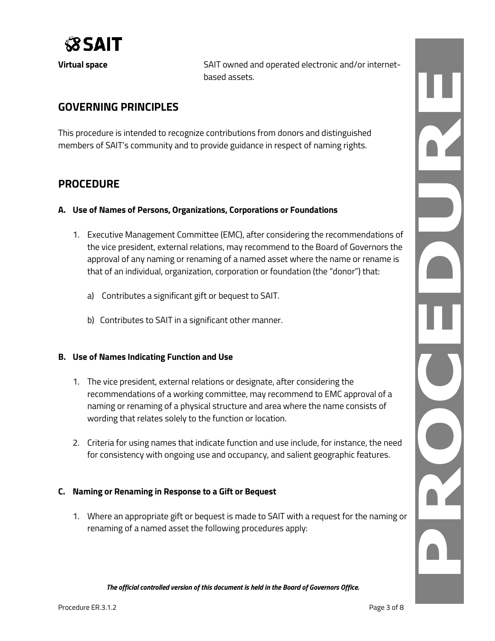

**Virtual space** SAIT owned and operated electronic and/or internetbased assets.

# **GOVERNING PRINCIPLES**

This procedure is intended to recognize contributions from donors and distinguished members of SAIT's community and to provide guidance in respect of naming rights.

# **PROCEDURE**

- **A. Use of Names of Persons, Organizations, Corporations or Foundations**
	- 1. Executive Management Committee (EMC), after considering the recommendations of the vice president, external relations, may recommend to the Board of Governors the approval of any naming or renaming of a named asset where the name or rename is that of an individual, organization, corporation or foundation (the "donor") that:
		- a) Contributes a significant gift or bequest to SAIT.
		- b) Contributes to SAIT in a significant other manner.

#### **B. Use of Names Indicating Function and Use**

- 1. The vice president, external relations or designate, after considering the recommendations of a working committee, may recommend to EMC approval of a naming or renaming of a physical structure and area where the name consists of wording that relates solely to the function or location.
- 2. Criteria for using names that indicate function and use include, for instance, the need for consistency with ongoing use and occupancy, and salient geographic features.

## **C. Naming or Renaming in Response to a Gift or Bequest**

1. Where an appropriate gift or bequest is made to SAIT with a request for the naming or renaming of a named asset the following procedures apply: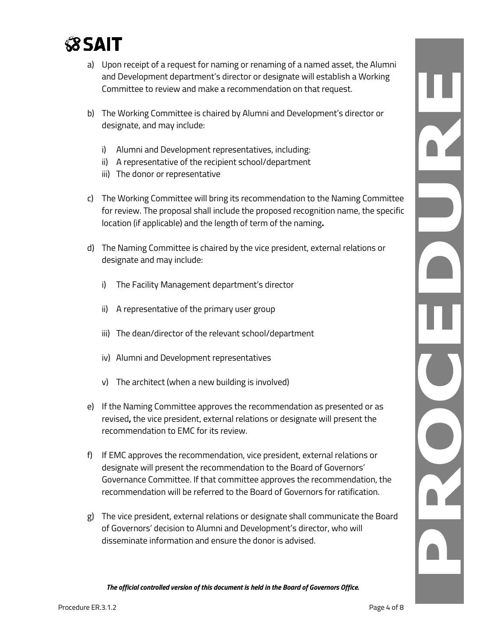

- a) Upon receipt of a request for naming or renaming of a named asset, the Alumni and Development department's director or designate will establish a Working Committee to review and make a recommendation on that request.
- b) The Working Committee is chaired by Alumni and Development's director or designate, and may include:
	- i) Alumni and Development representatives, including:
	- ii) A representative of the recipient school/department
	- iii) The donor or representative
- c) The Working Committee will bring its recommendation to the Naming Committee for review. The proposal shall include the proposed recognition name, the specific location (if applicable) and the length of term of the naming**.**
- d) The Naming Committee is chaired by the vice president, external relations or designate and may include:
	- i) The Facility Management department's director
	- ii) A representative of the primary user group
	- iii) The dean/director of the relevant school/department
	- iv) Alumni and Development representatives
	- v) The architect (when a new building is involved)
- e) If the Naming Committee approves the recommendation as presented or as revised**,** the vice president, external relations or designate will present the recommendation to EMC for its review.
- f) If EMC approves the recommendation, vice president, external relations or designate will present the recommendation to the Board of Governors' Governance Committee. If that committee approves the recommendation, the recommendation will be referred to the Board of Governors for ratification.
- g) The vice president, external relations or designate shall communicate the Board of Governors' decision to Alumni and Development's director, who will disseminate information and ensure the donor is advised.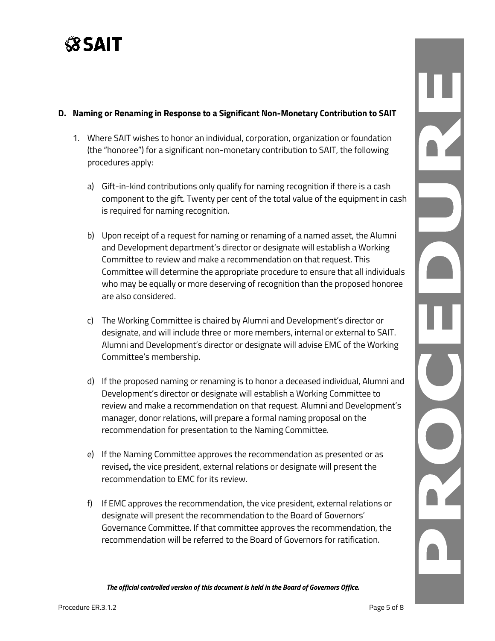

#### **D. Naming or Renaming in Response to a Significant Non-Monetary Contribution to SAIT**

- 1. Where SAIT wishes to honor an individual, corporation, organization or foundation (the "honoree") for a significant non-monetary contribution to SAIT, the following procedures apply:
	- a) Gift-in-kind contributions only qualify for naming recognition if there is a cash component to the gift. Twenty per cent of the total value of the equipment in cash is required for naming recognition.
	- b) Upon receipt of a request for naming or renaming of a named asset, the Alumni and Development department's director or designate will establish a Working Committee to review and make a recommendation on that request. This Committee will determine the appropriate procedure to ensure that all individuals who may be equally or more deserving of recognition than the proposed honoree are also considered.
	- c) The Working Committee is chaired by Alumni and Development's director or designate, and will include three or more members, internal or external to SAIT. Alumni and Development's director or designate will advise EMC of the Working Committee's membership.
	- d) If the proposed naming or renaming is to honor a deceased individual, Alumni and Development's director or designate will establish a Working Committee to review and make a recommendation on that request. Alumni and Development's manager, donor relations, will prepare a formal naming proposal on the recommendation for presentation to the Naming Committee.
	- e) If the Naming Committee approves the recommendation as presented or as revised**,** the vice president, external relations or designate will present the recommendation to EMC for its review.
	- f) If EMC approves the recommendation, the vice president, external relations or designate will present the recommendation to the Board of Governors' Governance Committee. If that committee approves the recommendation, the recommendation will be referred to the Board of Governors for ratification.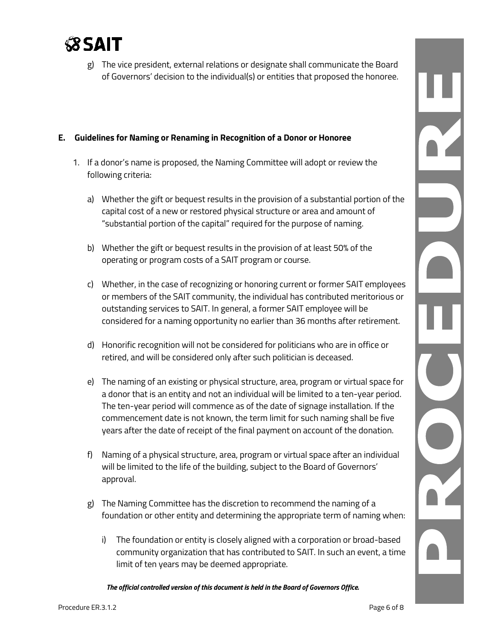

g) The vice president, external relations or designate shall communicate the Board of Governors' decision to the individual(s) or entities that proposed the honoree.

### **E. Guidelines for Naming or Renaming in Recognition of a Donor or Honoree**

- 1. If a donor's name is proposed, the Naming Committee will adopt or review the following criteria:
	- a) Whether the gift or bequest results in the provision of a substantial portion of the capital cost of a new or restored physical structure or area and amount of "substantial portion of the capital" required for the purpose of naming.
	- b) Whether the gift or bequest results in the provision of at least 50% of the operating or program costs of a SAIT program or course.
	- c) Whether, in the case of recognizing or honoring current or former SAIT employees or members of the SAIT community, the individual has contributed meritorious or outstanding services to SAIT. In general, a former SAIT employee will be considered for a naming opportunity no earlier than 36 months after retirement.
	- d) Honorific recognition will not be considered for politicians who are in office or retired, and will be considered only after such politician is deceased.
	- e) The naming of an existing or physical structure, area, program or virtual space for a donor that is an entity and not an individual will be limited to a ten-year period. The ten-year period will commence as of the date of signage installation. If the commencement date is not known, the term limit for such naming shall be five years after the date of receipt of the final payment on account of the donation.
	- f) Naming of a physical structure, area, program or virtual space after an individual will be limited to the life of the building, subject to the Board of Governors' approval.
	- g) The Naming Committee has the discretion to recommend the naming of a foundation or other entity and determining the appropriate term of naming when:
		- i) The foundation or entity is closely aligned with a corporation or broad-based community organization that has contributed to SAIT. In such an event, a time limit of ten years may be deemed appropriate.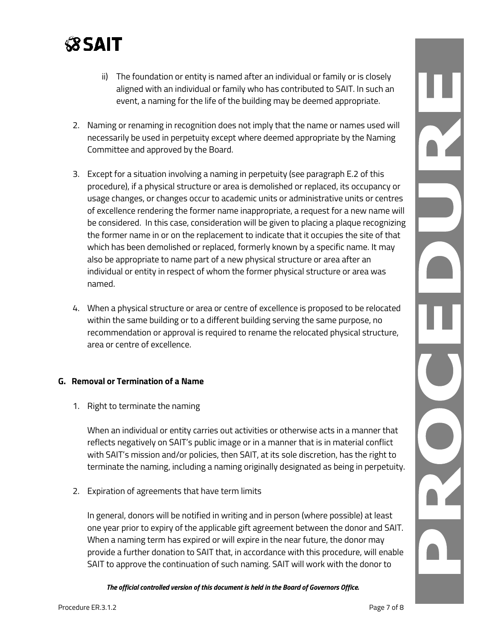

- ii) The foundation or entity is named after an individual or family or is closely aligned with an individual or family who has contributed to SAIT. In such an event, a naming for the life of the building may be deemed appropriate.
- 2. Naming or renaming in recognition does not imply that the name or names used will necessarily be used in perpetuity except where deemed appropriate by the Naming Committee and approved by the Board.
- 3. Except for a situation involving a naming in perpetuity (see paragraph E.2 of this procedure), if a physical structure or area is demolished or replaced, its occupancy or usage changes, or changes occur to academic units or administrative units or centres of excellence rendering the former name inappropriate, a request for a new name will be considered. In this case, consideration will be given to placing a plaque recognizing the former name in or on the replacement to indicate that it occupies the site of that which has been demolished or replaced, formerly known by a specific name. It may also be appropriate to name part of a new physical structure or area after an individual or entity in respect of whom the former physical structure or area was named.
- 4. When a physical structure or area or centre of excellence is proposed to be relocated within the same building or to a different building serving the same purpose, no recommendation or approval is required to rename the relocated physical structure, area or centre of excellence.

#### **G. Removal or Termination of a Name**

1. Right to terminate the naming

When an individual or entity carries out activities or otherwise acts in a manner that reflects negatively on SAIT's public image or in a manner that is in material conflict with SAIT's mission and/or policies, then SAIT, at its sole discretion, has the right to terminate the naming, including a naming originally designated as being in perpetuity.

2. Expiration of agreements that have term limits

In general, donors will be notified in writing and in person (where possible) at least one year prior to expiry of the applicable gift agreement between the donor and SAIT. When a naming term has expired or will expire in the near future, the donor may provide a further donation to SAIT that, in accordance with this procedure, will enable SAIT to approve the continuation of such naming. SAIT will work with the donor to